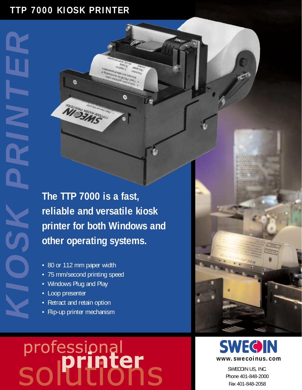## **TTP 7000 KIOSK PRINTER**

¢

**The TTP 7000 is a fast, reliable and versatile kiosk printer for both Windows and other operating systems.**

 $\bullet$ 

- 80 or 112 mm paper width
- 75 mm/second printing speed
- Windows Plug and Play
- Loop presenter

*KIOSK PRINTER*

- Retract and retain option
- Flip-up printer mechanism

## professional<br>
a **printer**





SWECOIN US, INC. Phone 401-848-2000 Fax 401-848-2058